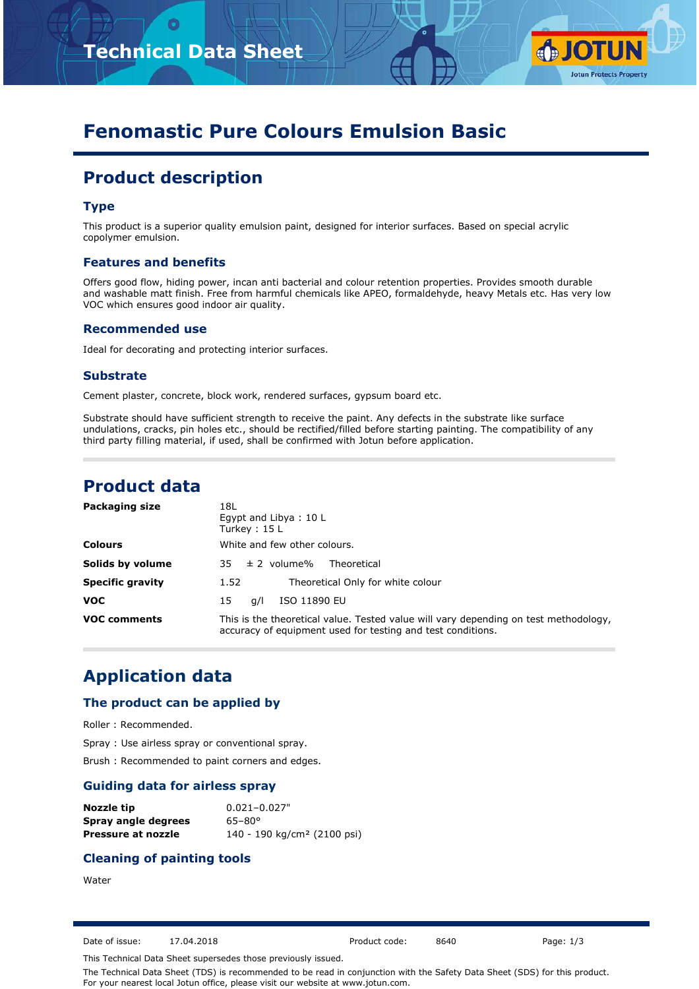



# **Fenomastic Pure Colours Emulsion Basic**

## **Product description**

#### **Type**

This product is a superior quality emulsion paint, designed for interior surfaces. Based on special acrylic copolymer emulsion.

#### **Features and benefits**

Offers good flow, hiding power, incan anti bacterial and colour retention properties. Provides smooth durable and washable matt finish. Free from harmful chemicals like APEO, formaldehyde, heavy Metals etc. Has very low VOC which ensures good indoor air quality.

#### **Recommended use**

Ideal for decorating and protecting interior surfaces.

#### **Substrate**

Cement plaster, concrete, block work, rendered surfaces, gypsum board etc.

Substrate should have sufficient strength to receive the paint. Any defects in the substrate like surface undulations, cracks, pin holes etc., should be rectified/filled before starting painting. The compatibility of any third party filling material, if used, shall be confirmed with Jotun before application.

### **Product data**

| <b>Packaging size</b>   | 18L<br>Egypt and Libya: 10 L<br>Turkey: $15 L$                                                                                                      |
|-------------------------|-----------------------------------------------------------------------------------------------------------------------------------------------------|
| <b>Colours</b>          | White and few other colours.                                                                                                                        |
| Solids by volume        | $35 \pm 2$ volume%<br>Theoretical                                                                                                                   |
| <b>Specific gravity</b> | Theoretical Only for white colour<br>1.52                                                                                                           |
| <b>VOC</b>              | ISO 11890 EU<br>15<br>a/l                                                                                                                           |
| <b>VOC comments</b>     | This is the theoretical value. Tested value will vary depending on test methodology,<br>accuracy of equipment used for testing and test conditions. |

### **Application data**

#### **The product can be applied by**

Roller : Recommended.

Spray : Use airless spray or conventional spray.

Brush : Recommended to paint corners and edges.

#### **Guiding data for airless spray**

| Nozzle tip          | $0.021 - 0.027$ "                       |
|---------------------|-----------------------------------------|
| Spray angle degrees | $65 - 80^{\circ}$                       |
| Pressure at nozzle  | 140 - 190 kg/cm <sup>2</sup> (2100 psi) |

#### **Cleaning of painting tools**

#### Water

Date of issue: 17.04.2018 Product code: 8640 Page: 1/3

This Technical Data Sheet supersedes those previously issued.

The Technical Data Sheet (TDS) is recommended to be read in conjunction with the Safety Data Sheet (SDS) for this product. For your nearest local Jotun office, please visit our website at www.jotun.com.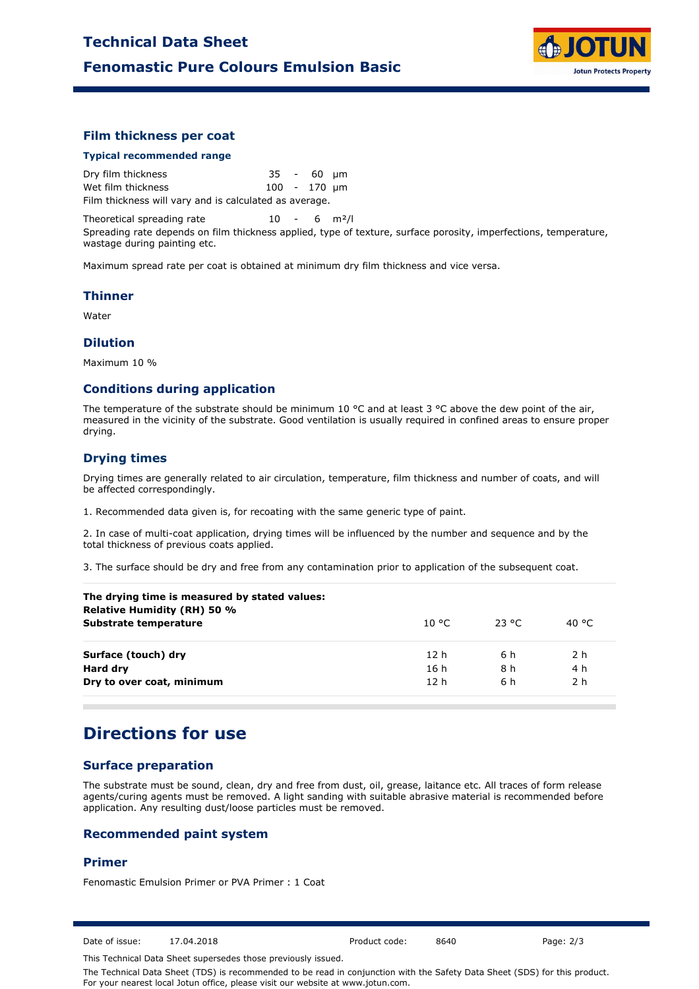

#### **Film thickness per coat**

#### **Typical recommended range**

Dry film thickness 35 - 60 µm Wet film thickness 100 - 170 µm Film thickness will vary and is calculated as average.

Theoretical spreading rate  $10 - 6$  m<sup>2</sup>/l Spreading rate depends on film thickness applied, type of texture, surface porosity, imperfections, temperature, wastage during painting etc.

Maximum spread rate per coat is obtained at minimum dry film thickness and vice versa.

#### **Thinner**

Water

#### **Dilution**

Maximum 10 %

#### **Conditions during application**

The temperature of the substrate should be minimum 10 °C and at least 3 °C above the dew point of the air, measured in the vicinity of the substrate. Good ventilation is usually required in confined areas to ensure proper drying.

#### **Drying times**

Drying times are generally related to air circulation, temperature, film thickness and number of coats, and will be affected correspondingly.

1. Recommended data given is, for recoating with the same generic type of paint.

2. In case of multi-coat application, drying times will be influenced by the number and sequence and by the total thickness of previous coats applied.

3. The surface should be dry and free from any contamination prior to application of the subsequent coat.

| The drying time is measured by stated values:<br><b>Relative Humidity (RH) 50 %</b> |                 |          |                |
|-------------------------------------------------------------------------------------|-----------------|----------|----------------|
| Substrate temperature                                                               | 10 °C.          | - 23 °C. | 40 °C          |
| Surface (touch) dry                                                                 | 12h             | 6 h      | 2 <sub>h</sub> |
| Hard dry                                                                            | 16 h            | 8 h      | 4 h            |
| Dry to over coat, minimum                                                           | 12 <sub>h</sub> | 6 h      | 2 h            |
|                                                                                     |                 |          |                |

### **Directions for use**

#### **Surface preparation**

The substrate must be sound, clean, dry and free from dust, oil, grease, laitance etc. All traces of form release agents/curing agents must be removed. A light sanding with suitable abrasive material is recommended before application. Any resulting dust/loose particles must be removed.

#### **Recommended paint system**

#### **Primer**

Fenomastic Emulsion Primer or PVA Primer : 1 Coat

Date of issue: 17.04.2018 Product code: 8640 Page: 2/3

This Technical Data Sheet supersedes those previously issued.

The Technical Data Sheet (TDS) is recommended to be read in conjunction with the Safety Data Sheet (SDS) for this product. For your nearest local Jotun office, please visit our website at www.jotun.com.